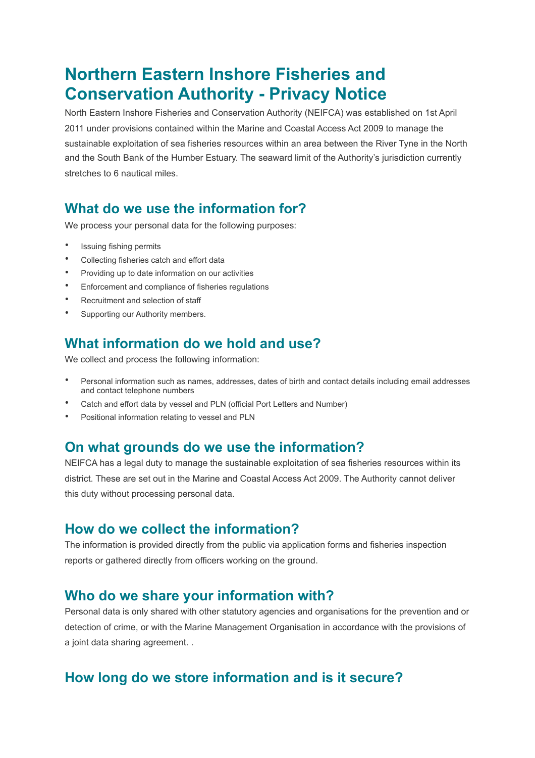# **Northern Eastern Inshore Fisheries and Conservation Authority - Privacy Notice**

North Eastern Inshore Fisheries and Conservation Authority (NEIFCA) was established on 1st April 2011 under provisions contained within the Marine and Coastal Access Act 2009 to manage the sustainable exploitation of sea fisheries resources within an area between the River Tyne in the North and the South Bank of the Humber Estuary. The seaward limit of the Authority's jurisdiction currently stretches to 6 nautical miles.

## **What do we use the information for?**

We process your personal data for the following purposes:

- Issuing fishing permits
- Collecting fisheries catch and effort data
- Providing up to date information on our activities
- Enforcement and compliance of fisheries regulations
- Recruitment and selection of staff
- Supporting our Authority members.

### **What information do we hold and use?**

We collect and process the following information:

- Personal information such as names, addresses, dates of birth and contact details including email addresses and contact telephone numbers
- Catch and effort data by vessel and PLN (official Port Letters and Number)
- Positional information relating to vessel and PLN

#### **On what grounds do we use the information?**

NEIFCA has a legal duty to manage the sustainable exploitation of sea fisheries resources within its district. These are set out in the Marine and Coastal Access Act 2009. The Authority cannot deliver this duty without processing personal data.

#### **How do we collect the information?**

The information is provided directly from the public via application forms and fisheries inspection reports or gathered directly from officers working on the ground.

#### **Who do we share your information with?**

Personal data is only shared with other statutory agencies and organisations for the prevention and or detection of crime, or with the Marine Management Organisation in accordance with the provisions of a joint data sharing agreement. .

### **How long do we store information and is it secure?**